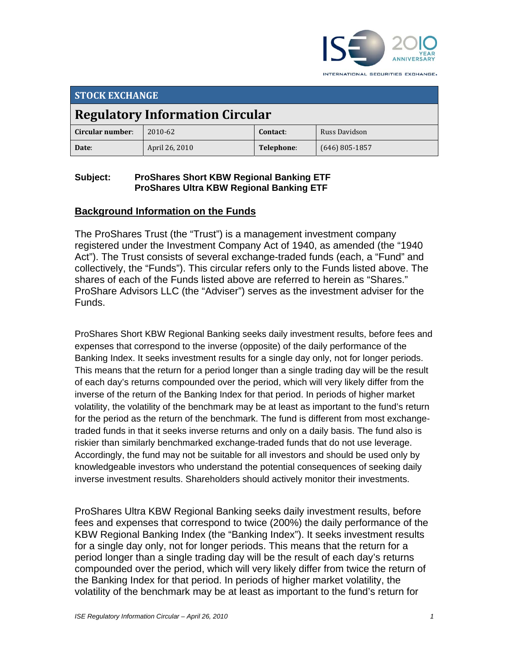

**STOCK EXCHANGE Regulatory Information Circular Circular number**: 2010‐62 **Contact**: Russ Davidson **Date**: April 26, 2010 **Telephone**: (646) 805‐1857

#### **Subject: ProShares Short KBW Regional Banking ETF ProShares Ultra KBW Regional Banking ETF**

## **Background Information on the Funds**

The ProShares Trust (the "Trust") is a management investment company registered under the Investment Company Act of 1940, as amended (the "1940 Act"). The Trust consists of several exchange-traded funds (each, a "Fund" and collectively, the "Funds"). This circular refers only to the Funds listed above. The shares of each of the Funds listed above are referred to herein as "Shares." ProShare Advisors LLC (the "Adviser") serves as the investment adviser for the Funds.

ProShares Short KBW Regional Banking seeks daily investment results, before fees and expenses that correspond to the inverse (opposite) of the daily performance of the Banking Index. It seeks investment results for a single day only, not for longer periods. This means that the return for a period longer than a single trading day will be the result of each day's returns compounded over the period, which will very likely differ from the inverse of the return of the Banking Index for that period. In periods of higher market volatility, the volatility of the benchmark may be at least as important to the fund's return for the period as the return of the benchmark. The fund is different from most exchangetraded funds in that it seeks inverse returns and only on a daily basis. The fund also is riskier than similarly benchmarked exchange-traded funds that do not use leverage. Accordingly, the fund may not be suitable for all investors and should be used only by knowledgeable investors who understand the potential consequences of seeking daily inverse investment results. Shareholders should actively monitor their investments.

ProShares Ultra KBW Regional Banking seeks daily investment results, before fees and expenses that correspond to twice (200%) the daily performance of the KBW Regional Banking Index (the "Banking Index"). It seeks investment results for a single day only, not for longer periods. This means that the return for a period longer than a single trading day will be the result of each day's returns compounded over the period, which will very likely differ from twice the return of the Banking Index for that period. In periods of higher market volatility, the volatility of the benchmark may be at least as important to the fund's return for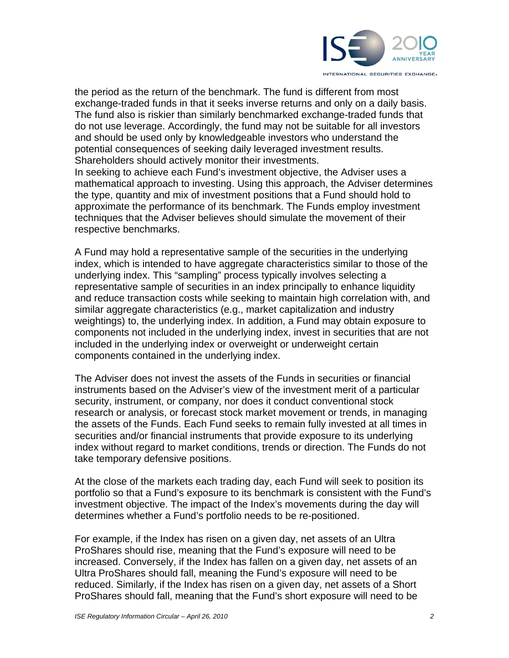

the period as the return of the benchmark. The fund is different from most exchange-traded funds in that it seeks inverse returns and only on a daily basis. The fund also is riskier than similarly benchmarked exchange-traded funds that do not use leverage. Accordingly, the fund may not be suitable for all investors and should be used only by knowledgeable investors who understand the potential consequences of seeking daily leveraged investment results. Shareholders should actively monitor their investments.

In seeking to achieve each Fund's investment objective, the Adviser uses a mathematical approach to investing. Using this approach, the Adviser determines the type, quantity and mix of investment positions that a Fund should hold to approximate the performance of its benchmark. The Funds employ investment techniques that the Adviser believes should simulate the movement of their respective benchmarks.

A Fund may hold a representative sample of the securities in the underlying index, which is intended to have aggregate characteristics similar to those of the underlying index. This "sampling" process typically involves selecting a representative sample of securities in an index principally to enhance liquidity and reduce transaction costs while seeking to maintain high correlation with, and similar aggregate characteristics (e.g., market capitalization and industry weightings) to, the underlying index. In addition, a Fund may obtain exposure to components not included in the underlying index, invest in securities that are not included in the underlying index or overweight or underweight certain components contained in the underlying index.

The Adviser does not invest the assets of the Funds in securities or financial instruments based on the Adviser's view of the investment merit of a particular security, instrument, or company, nor does it conduct conventional stock research or analysis, or forecast stock market movement or trends, in managing the assets of the Funds. Each Fund seeks to remain fully invested at all times in securities and/or financial instruments that provide exposure to its underlying index without regard to market conditions, trends or direction. The Funds do not take temporary defensive positions.

At the close of the markets each trading day, each Fund will seek to position its portfolio so that a Fund's exposure to its benchmark is consistent with the Fund's investment objective. The impact of the Index's movements during the day will determines whether a Fund's portfolio needs to be re-positioned.

For example, if the Index has risen on a given day, net assets of an Ultra ProShares should rise, meaning that the Fund's exposure will need to be increased. Conversely, if the Index has fallen on a given day, net assets of an Ultra ProShares should fall, meaning the Fund's exposure will need to be reduced. Similarly, if the Index has risen on a given day, net assets of a Short ProShares should fall, meaning that the Fund's short exposure will need to be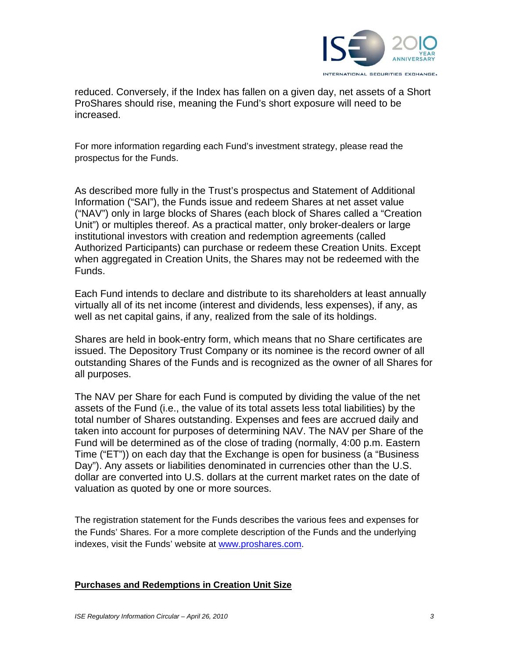

reduced. Conversely, if the Index has fallen on a given day, net assets of a Short ProShares should rise, meaning the Fund's short exposure will need to be increased.

For more information regarding each Fund's investment strategy, please read the prospectus for the Funds.

As described more fully in the Trust's prospectus and Statement of Additional Information ("SAI"), the Funds issue and redeem Shares at net asset value ("NAV") only in large blocks of Shares (each block of Shares called a "Creation Unit") or multiples thereof. As a practical matter, only broker-dealers or large institutional investors with creation and redemption agreements (called Authorized Participants) can purchase or redeem these Creation Units. Except when aggregated in Creation Units, the Shares may not be redeemed with the Funds.

Each Fund intends to declare and distribute to its shareholders at least annually virtually all of its net income (interest and dividends, less expenses), if any, as well as net capital gains, if any, realized from the sale of its holdings.

Shares are held in book-entry form, which means that no Share certificates are issued. The Depository Trust Company or its nominee is the record owner of all outstanding Shares of the Funds and is recognized as the owner of all Shares for all purposes.

The NAV per Share for each Fund is computed by dividing the value of the net assets of the Fund (i.e., the value of its total assets less total liabilities) by the total number of Shares outstanding. Expenses and fees are accrued daily and taken into account for purposes of determining NAV. The NAV per Share of the Fund will be determined as of the close of trading (normally, 4:00 p.m. Eastern Time ("ET")) on each day that the Exchange is open for business (a "Business Day"). Any assets or liabilities denominated in currencies other than the U.S. dollar are converted into U.S. dollars at the current market rates on the date of valuation as quoted by one or more sources.

The registration statement for the Funds describes the various fees and expenses for the Funds' Shares. For a more complete description of the Funds and the underlying indexes, visit the Funds' website at www.proshares.com.

#### **Purchases and Redemptions in Creation Unit Size**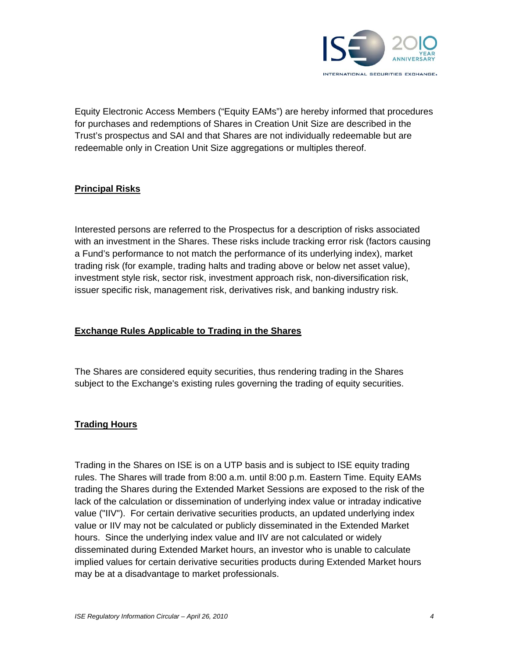

Equity Electronic Access Members ("Equity EAMs") are hereby informed that procedures for purchases and redemptions of Shares in Creation Unit Size are described in the Trust's prospectus and SAI and that Shares are not individually redeemable but are redeemable only in Creation Unit Size aggregations or multiples thereof.

### **Principal Risks**

Interested persons are referred to the Prospectus for a description of risks associated with an investment in the Shares. These risks include tracking error risk (factors causing a Fund's performance to not match the performance of its underlying index), market trading risk (for example, trading halts and trading above or below net asset value), investment style risk, sector risk, investment approach risk, non-diversification risk, issuer specific risk, management risk, derivatives risk, and banking industry risk.

#### **Exchange Rules Applicable to Trading in the Shares**

The Shares are considered equity securities, thus rendering trading in the Shares subject to the Exchange's existing rules governing the trading of equity securities.

## **Trading Hours**

Trading in the Shares on ISE is on a UTP basis and is subject to ISE equity trading rules. The Shares will trade from 8:00 a.m. until 8:00 p.m. Eastern Time. Equity EAMs trading the Shares during the Extended Market Sessions are exposed to the risk of the lack of the calculation or dissemination of underlying index value or intraday indicative value ("IIV"). For certain derivative securities products, an updated underlying index value or IIV may not be calculated or publicly disseminated in the Extended Market hours. Since the underlying index value and IIV are not calculated or widely disseminated during Extended Market hours, an investor who is unable to calculate implied values for certain derivative securities products during Extended Market hours may be at a disadvantage to market professionals.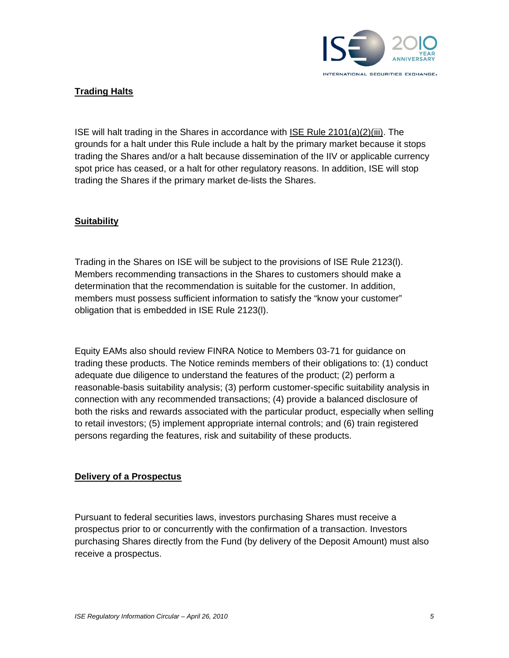

### **Trading Halts**

ISE will halt trading in the Shares in accordance with ISE Rule 2101(a)(2)(iii). The grounds for a halt under this Rule include a halt by the primary market because it stops trading the Shares and/or a halt because dissemination of the IIV or applicable currency spot price has ceased, or a halt for other regulatory reasons. In addition, ISE will stop trading the Shares if the primary market de-lists the Shares.

#### **Suitability**

Trading in the Shares on ISE will be subject to the provisions of ISE Rule 2123(l). Members recommending transactions in the Shares to customers should make a determination that the recommendation is suitable for the customer. In addition, members must possess sufficient information to satisfy the "know your customer" obligation that is embedded in ISE Rule 2123(l).

Equity EAMs also should review FINRA Notice to Members 03-71 for guidance on trading these products. The Notice reminds members of their obligations to: (1) conduct adequate due diligence to understand the features of the product; (2) perform a reasonable-basis suitability analysis; (3) perform customer-specific suitability analysis in connection with any recommended transactions; (4) provide a balanced disclosure of both the risks and rewards associated with the particular product, especially when selling to retail investors; (5) implement appropriate internal controls; and (6) train registered persons regarding the features, risk and suitability of these products.

#### **Delivery of a Prospectus**

Pursuant to federal securities laws, investors purchasing Shares must receive a prospectus prior to or concurrently with the confirmation of a transaction. Investors purchasing Shares directly from the Fund (by delivery of the Deposit Amount) must also receive a prospectus.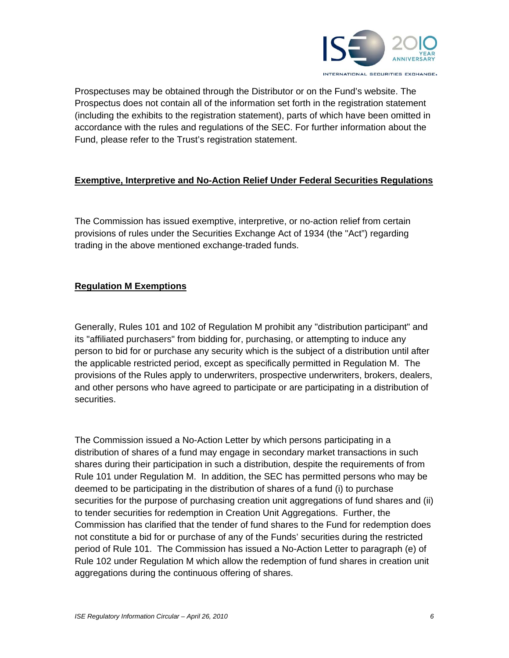

Prospectuses may be obtained through the Distributor or on the Fund's website. The Prospectus does not contain all of the information set forth in the registration statement (including the exhibits to the registration statement), parts of which have been omitted in accordance with the rules and regulations of the SEC. For further information about the Fund, please refer to the Trust's registration statement.

## **Exemptive, Interpretive and No-Action Relief Under Federal Securities Regulations**

The Commission has issued exemptive, interpretive, or no-action relief from certain provisions of rules under the Securities Exchange Act of 1934 (the "Act") regarding trading in the above mentioned exchange-traded funds.

# **Regulation M Exemptions**

Generally, Rules 101 and 102 of Regulation M prohibit any "distribution participant" and its "affiliated purchasers" from bidding for, purchasing, or attempting to induce any person to bid for or purchase any security which is the subject of a distribution until after the applicable restricted period, except as specifically permitted in Regulation M. The provisions of the Rules apply to underwriters, prospective underwriters, brokers, dealers, and other persons who have agreed to participate or are participating in a distribution of securities.

The Commission issued a No-Action Letter by which persons participating in a distribution of shares of a fund may engage in secondary market transactions in such shares during their participation in such a distribution, despite the requirements of from Rule 101 under Regulation M. In addition, the SEC has permitted persons who may be deemed to be participating in the distribution of shares of a fund (i) to purchase securities for the purpose of purchasing creation unit aggregations of fund shares and (ii) to tender securities for redemption in Creation Unit Aggregations. Further, the Commission has clarified that the tender of fund shares to the Fund for redemption does not constitute a bid for or purchase of any of the Funds' securities during the restricted period of Rule 101. The Commission has issued a No-Action Letter to paragraph (e) of Rule 102 under Regulation M which allow the redemption of fund shares in creation unit aggregations during the continuous offering of shares.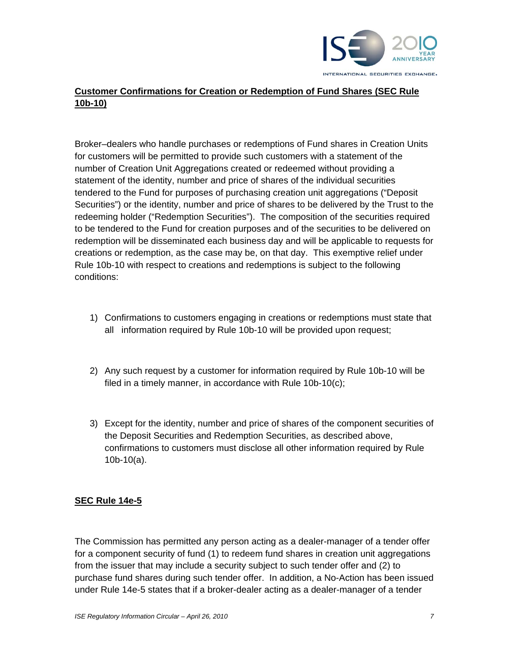

# **Customer Confirmations for Creation or Redemption of Fund Shares (SEC Rule 10b-10)**

Broker–dealers who handle purchases or redemptions of Fund shares in Creation Units for customers will be permitted to provide such customers with a statement of the number of Creation Unit Aggregations created or redeemed without providing a statement of the identity, number and price of shares of the individual securities tendered to the Fund for purposes of purchasing creation unit aggregations ("Deposit Securities") or the identity, number and price of shares to be delivered by the Trust to the redeeming holder ("Redemption Securities"). The composition of the securities required to be tendered to the Fund for creation purposes and of the securities to be delivered on redemption will be disseminated each business day and will be applicable to requests for creations or redemption, as the case may be, on that day. This exemptive relief under Rule 10b-10 with respect to creations and redemptions is subject to the following conditions:

- 1) Confirmations to customers engaging in creations or redemptions must state that all information required by Rule 10b-10 will be provided upon request;
- 2) Any such request by a customer for information required by Rule 10b-10 will be filed in a timely manner, in accordance with Rule 10b-10(c);
- 3) Except for the identity, number and price of shares of the component securities of the Deposit Securities and Redemption Securities, as described above, confirmations to customers must disclose all other information required by Rule 10b-10(a).

#### **SEC Rule 14e-5**

The Commission has permitted any person acting as a dealer-manager of a tender offer for a component security of fund (1) to redeem fund shares in creation unit aggregations from the issuer that may include a security subject to such tender offer and (2) to purchase fund shares during such tender offer. In addition, a No-Action has been issued under Rule 14e-5 states that if a broker-dealer acting as a dealer-manager of a tender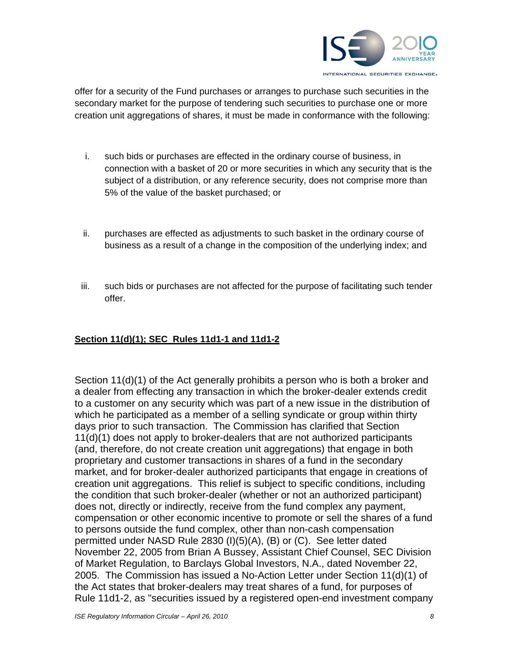

offer for a security of the Fund purchases or arranges to purchase such securities in the secondary market for the purpose of tendering such securities to purchase one or more creation unit aggregations of shares, it must be made in conformance with the following:

- i. such bids or purchases are effected in the ordinary course of business, in connection with a basket of 20 or more securities in which any security that is the subject of a distribution, or any reference security, does not comprise more than 5% of the value of the basket purchased; or
- ii. purchases are effected as adjustments to such basket in the ordinary course of business as a result of a change in the composition of the underlying index; and
- iii. such bids or purchases are not affected for the purpose of facilitating such tender offer.

## **Section 11(d)(1); SEC Rules 11d1-1 and 11d1-2**

Section 11(d)(1) of the Act generally prohibits a person who is both a broker and a dealer from effecting any transaction in which the broker-dealer extends credit to a customer on any security which was part of a new issue in the distribution of which he participated as a member of a selling syndicate or group within thirty days prior to such transaction. The Commission has clarified that Section 11(d)(1) does not apply to broker-dealers that are not authorized participants (and, therefore, do not create creation unit aggregations) that engage in both proprietary and customer transactions in shares of a fund in the secondary market, and for broker-dealer authorized participants that engage in creations of creation unit aggregations. This relief is subject to specific conditions, including the condition that such broker-dealer (whether or not an authorized participant) does not, directly or indirectly, receive from the fund complex any payment, compensation or other economic incentive to promote or sell the shares of a fund to persons outside the fund complex, other than non-cash compensation permitted under NASD Rule 2830 (I)(5)(A), (B) or (C). See letter dated November 22, 2005 from Brian A Bussey, Assistant Chief Counsel, SEC Division of Market Regulation, to Barclays Global Investors, N.A., dated November 22, 2005. The Commission has issued a No-Action Letter under Section 11(d)(1) of the Act states that broker-dealers may treat shares of a fund, for purposes of Rule 11d1-2, as "securities issued by a registered open-end investment company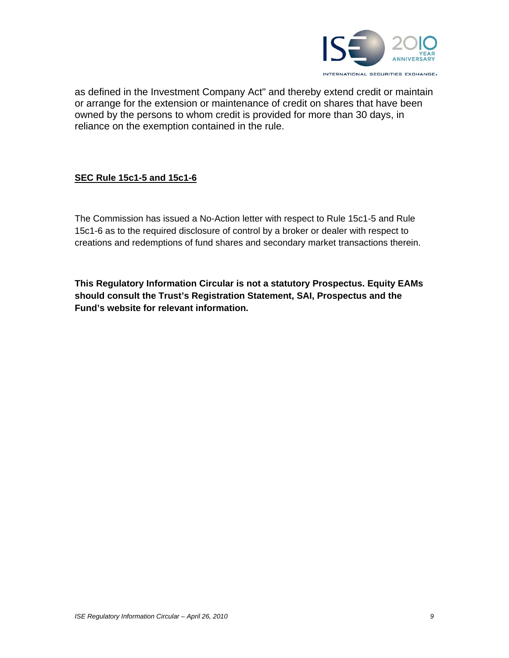

as defined in the Investment Company Act" and thereby extend credit or maintain or arrange for the extension or maintenance of credit on shares that have been owned by the persons to whom credit is provided for more than 30 days, in reliance on the exemption contained in the rule.

## **SEC Rule 15c1-5 and 15c1-6**

The Commission has issued a No-Action letter with respect to Rule 15c1-5 and Rule 15c1-6 as to the required disclosure of control by a broker or dealer with respect to creations and redemptions of fund shares and secondary market transactions therein.

**This Regulatory Information Circular is not a statutory Prospectus. Equity EAMs should consult the Trust's Registration Statement, SAI, Prospectus and the Fund's website for relevant information.**